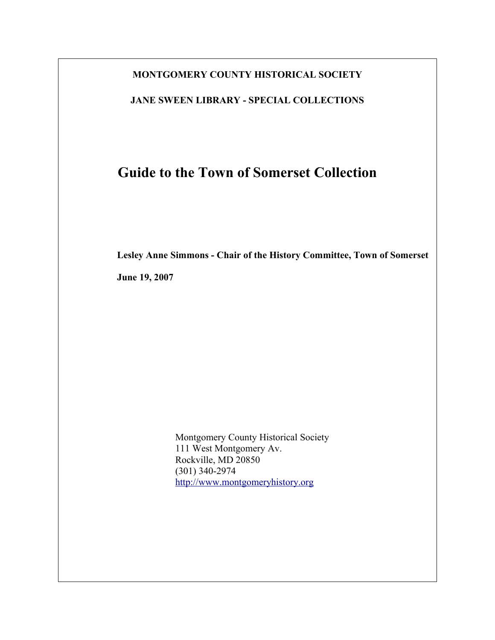### **MONTGOMERY COUNTY HISTORICAL SOCIETY**

**JANE SWEEN LIBRARY - SPECIAL COLLECTIONS**

# **Guide to the Town of Somerset Collection**

**Lesley Anne Simmons - Chair of the History Committee, Town of Somerset**

**June 19, 2007**

Montgomery County Historical Society 111 West Montgomery Av. Rockville, MD 20850 (301) 340-2974 [http://www.montgomeryhistory.org](http://www.montgomeryhistory.org/)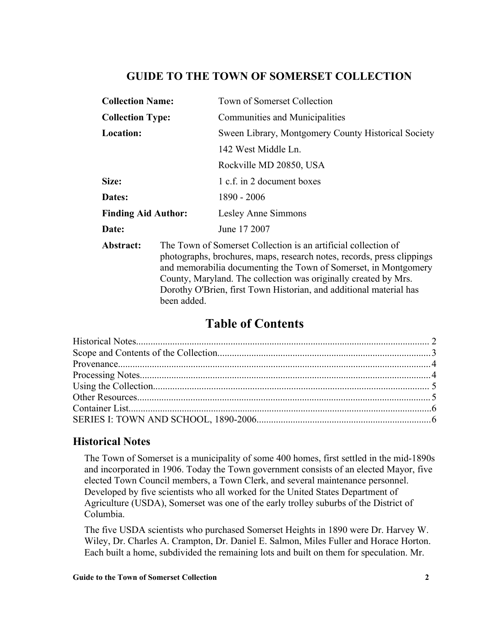# **GUIDE TO THE TOWN OF SOMERSET COLLECTION**

| <b>Collection Name:</b>    |                                                                                                                                          | Town of Somerset Collection                         |  |
|----------------------------|------------------------------------------------------------------------------------------------------------------------------------------|-----------------------------------------------------|--|
| <b>Collection Type:</b>    |                                                                                                                                          | <b>Communities and Municipalities</b>               |  |
| <b>Location:</b>           |                                                                                                                                          | Sween Library, Montgomery County Historical Society |  |
|                            |                                                                                                                                          | 142 West Middle Ln.                                 |  |
|                            |                                                                                                                                          | Rockville MD 20850, USA                             |  |
| Size:                      |                                                                                                                                          | 1 c.f. in 2 document boxes                          |  |
| Dates:                     |                                                                                                                                          | 1890 - 2006                                         |  |
| <b>Finding Aid Author:</b> |                                                                                                                                          | Lesley Anne Simmons                                 |  |
| Date:                      |                                                                                                                                          | June 17 2007                                        |  |
| Abstract:                  | The Town of Somerset Collection is an artificial collection of<br>photographs, brochures, maps, research notes, records, press clippings |                                                     |  |

and memorabilia documenting the Town of Somerset, in Montgomery County, Maryland. The collection was originally created by Mrs. Dorothy O'Brien, first Town Historian, and additional material has been added.

# **Table of Contents**

# **Historical Notes**

The Town of Somerset is a municipality of some 400 homes, first settled in the mid-1890s and incorporated in 1906. Today the Town government consists of an elected Mayor, five elected Town Council members, a Town Clerk, and several maintenance personnel. Developed by five scientists who all worked for the United States Department of Agriculture (USDA), Somerset was one of the early trolley suburbs of the District of Columbia.

The five USDA scientists who purchased Somerset Heights in 1890 were Dr. Harvey W. Wiley, Dr. Charles A. Crampton, Dr. Daniel E. Salmon, Miles Fuller and Horace Horton. Each built a home, subdivided the remaining lots and built on them for speculation. Mr.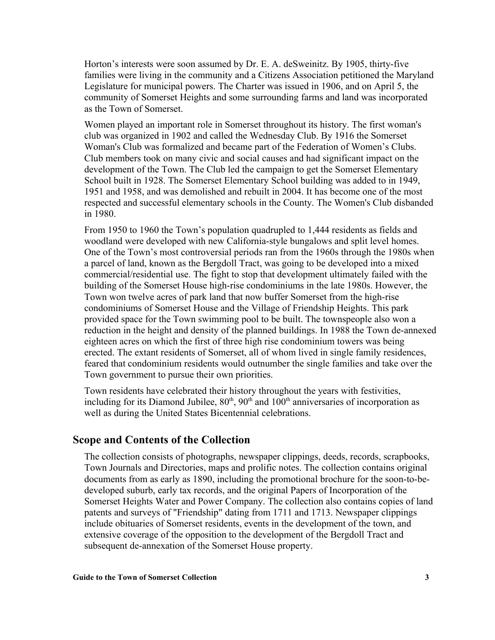Horton's interests were soon assumed by Dr. E. A. deSweinitz. By 1905, thirty-five families were living in the community and a Citizens Association petitioned the Maryland Legislature for municipal powers. The Charter was issued in 1906, and on April 5, the community of Somerset Heights and some surrounding farms and land was incorporated as the Town of Somerset.

Women played an important role in Somerset throughout its history. The first woman's club was organized in 1902 and called the Wednesday Club. By 1916 the Somerset Woman's Club was formalized and became part of the Federation of Women's Clubs. Club members took on many civic and social causes and had significant impact on the development of the Town. The Club led the campaign to get the Somerset Elementary School built in 1928. The Somerset Elementary School building was added to in 1949, 1951 and 1958, and was demolished and rebuilt in 2004. It has become one of the most respected and successful elementary schools in the County. The Women's Club disbanded in 1980.

From 1950 to 1960 the Town's population quadrupled to 1,444 residents as fields and woodland were developed with new California-style bungalows and split level homes. One of the Town's most controversial periods ran from the 1960s through the 1980s when a parcel of land, known as the Bergdoll Tract, was going to be developed into a mixed commercial/residential use. The fight to stop that development ultimately failed with the building of the Somerset House high-rise condominiums in the late 1980s. However, the Town won twelve acres of park land that now buffer Somerset from the high-rise condominiums of Somerset House and the Village of Friendship Heights. This park provided space for the Town swimming pool to be built. The townspeople also won a reduction in the height and density of the planned buildings. In 1988 the Town de-annexed eighteen acres on which the first of three high rise condominium towers was being erected. The extant residents of Somerset, all of whom lived in single family residences, feared that condominium residents would outnumber the single families and take over the Town government to pursue their own priorities.

Town residents have celebrated their history throughout the years with festivities, including for its Diamond Jubilee,  $80<sup>th</sup>$ ,  $90<sup>th</sup>$  and  $100<sup>th</sup>$  anniversaries of incorporation as well as during the United States Bicentennial celebrations.

### **Scope and Contents of the Collection**

The collection consists of photographs, newspaper clippings, deeds, records, scrapbooks, Town Journals and Directories, maps and prolific notes. The collection contains original documents from as early as 1890, including the promotional brochure for the soon-to-bedeveloped suburb, early tax records, and the original Papers of Incorporation of the Somerset Heights Water and Power Company. The collection also contains copies of land patents and surveys of "Friendship" dating from 1711 and 1713. Newspaper clippings include obituaries of Somerset residents, events in the development of the town, and extensive coverage of the opposition to the development of the Bergdoll Tract and subsequent de-annexation of the Somerset House property.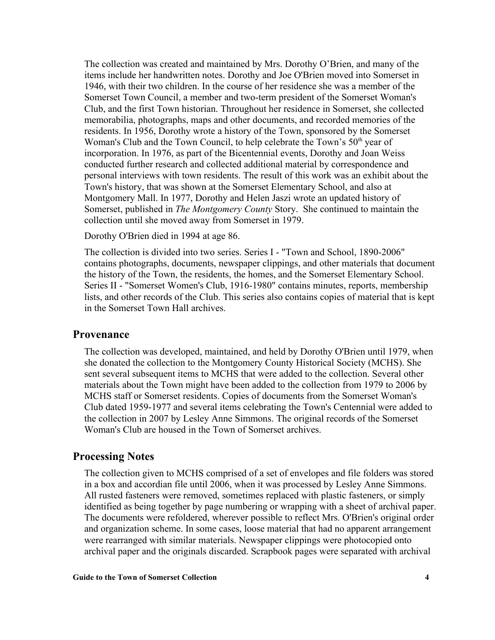The collection was created and maintained by Mrs. Dorothy O'Brien, and many of the items include her handwritten notes. Dorothy and Joe O'Brien moved into Somerset in 1946, with their two children. In the course of her residence she was a member of the Somerset Town Council, a member and two-term president of the Somerset Woman's Club, and the first Town historian. Throughout her residence in Somerset, she collected memorabilia, photographs, maps and other documents, and recorded memories of the residents. In 1956, Dorothy wrote a history of the Town, sponsored by the Somerset Woman's Club and the Town Council, to help celebrate the Town's  $50<sup>th</sup>$  year of incorporation. In 1976, as part of the Bicentennial events, Dorothy and Joan Weiss conducted further research and collected additional material by correspondence and personal interviews with town residents. The result of this work was an exhibit about the Town's history, that was shown at the Somerset Elementary School, and also at Montgomery Mall. In 1977, Dorothy and Helen Jaszi wrote an updated history of Somerset, published in *The Montgomery County* Story. She continued to maintain the collection until she moved away from Somerset in 1979.

Dorothy O'Brien died in 1994 at age 86.

The collection is divided into two series. Series I - "Town and School, 1890-2006" contains photographs, documents, newspaper clippings, and other materials that document the history of the Town, the residents, the homes, and the Somerset Elementary School. Series II - "Somerset Women's Club, 1916-1980" contains minutes, reports, membership lists, and other records of the Club. This series also contains copies of material that is kept in the Somerset Town Hall archives.

### **Provenance**

The collection was developed, maintained, and held by Dorothy O'Brien until 1979, when she donated the collection to the Montgomery County Historical Society (MCHS). She sent several subsequent items to MCHS that were added to the collection. Several other materials about the Town might have been added to the collection from 1979 to 2006 by MCHS staff or Somerset residents. Copies of documents from the Somerset Woman's Club dated 1959-1977 and several items celebrating the Town's Centennial were added to the collection in 2007 by Lesley Anne Simmons. The original records of the Somerset Woman's Club are housed in the Town of Somerset archives.

### **Processing Notes**

The collection given to MCHS comprised of a set of envelopes and file folders was stored in a box and accordian file until 2006, when it was processed by Lesley Anne Simmons. All rusted fasteners were removed, sometimes replaced with plastic fasteners, or simply identified as being together by page numbering or wrapping with a sheet of archival paper. The documents were refoldered, wherever possible to reflect Mrs. O'Brien's original order and organization scheme. In some cases, loose material that had no apparent arrangement were rearranged with similar materials. Newspaper clippings were photocopied onto archival paper and the originals discarded. Scrapbook pages were separated with archival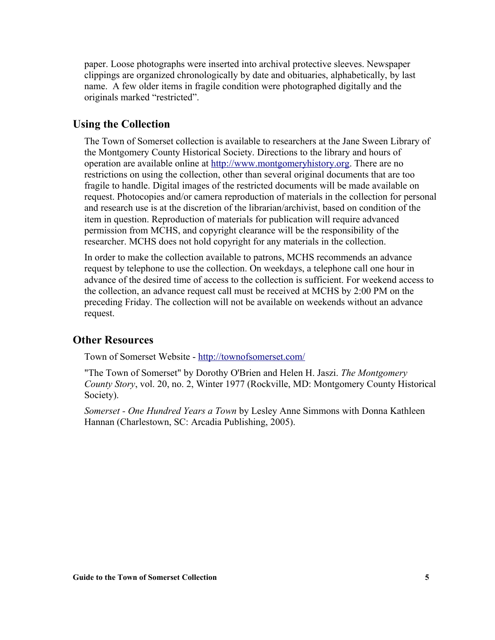paper. Loose photographs were inserted into archival protective sleeves. Newspaper clippings are organized chronologically by date and obituaries, alphabetically, by last name. A few older items in fragile condition were photographed digitally and the originals marked "restricted".

### **Using the Collection**

The Town of Somerset collection is available to researchers at the Jane Sween Library of the Montgomery County Historical Society. Directions to the library and hours of operation are available online at [http://www.montgomeryhistory.org.](http://www.montgomeryhistory.org/) There are no restrictions on using the collection, other than several original documents that are too fragile to handle. Digital images of the restricted documents will be made available on request. Photocopies and/or camera reproduction of materials in the collection for personal and research use is at the discretion of the librarian/archivist, based on condition of the item in question. Reproduction of materials for publication will require advanced permission from MCHS, and copyright clearance will be the responsibility of the researcher. MCHS does not hold copyright for any materials in the collection.

In order to make the collection available to patrons, MCHS recommends an advance request by telephone to use the collection. On weekdays, a telephone call one hour in advance of the desired time of access to the collection is sufficient. For weekend access to the collection, an advance request call must be received at MCHS by 2:00 PM on the preceding Friday. The collection will not be available on weekends without an advance request.

### **Other Resources**

Town of Somerset Website -<http://townofsomerset.com/>

"The Town of Somerset" by Dorothy O'Brien and Helen H. Jaszi. *The Montgomery County Story*, vol. 20, no. 2, Winter 1977 (Rockville, MD: Montgomery County Historical Society).

*Somerset - One Hundred Years a Town* by Lesley Anne Simmons with Donna Kathleen Hannan (Charlestown, SC: Arcadia Publishing, 2005).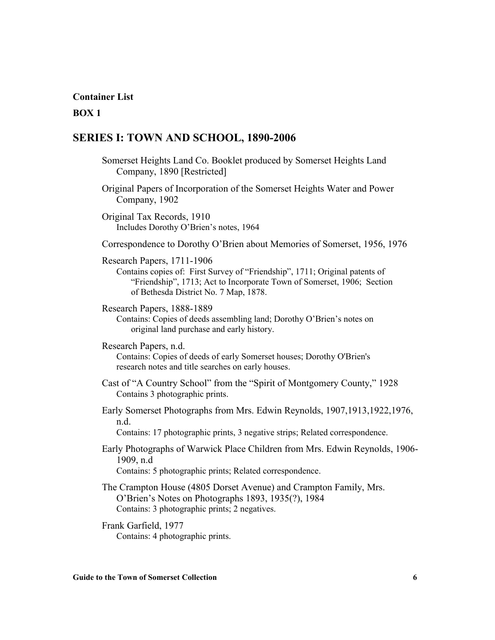#### **Container List**

#### **BOX 1**

### **SERIES I: TOWN AND SCHOOL, 1890-2006**

- Somerset Heights Land Co. Booklet produced by Somerset Heights Land Company, 1890 [Restricted]
- Original Papers of Incorporation of the Somerset Heights Water and Power Company, 1902

Original Tax Records, 1910 Includes Dorothy O'Brien's notes, 1964

- Correspondence to Dorothy O'Brien about Memories of Somerset, 1956, 1976
- Research Papers, 1711-1906

Contains copies of: First Survey of "Friendship", 1711; Original patents of "Friendship", 1713; Act to Incorporate Town of Somerset, 1906; Section of Bethesda District No. 7 Map, 1878.

Research Papers, 1888-1889

Contains: Copies of deeds assembling land; Dorothy O'Brien's notes on original land purchase and early history.

Research Papers, n.d.

Contains: Copies of deeds of early Somerset houses; Dorothy O'Brien's research notes and title searches on early houses.

- Cast of "A Country School" from the "Spirit of Montgomery County," 1928 Contains 3 photographic prints.
- Early Somerset Photographs from Mrs. Edwin Reynolds, 1907,1913,1922,1976, n.d.

Contains: 17 photographic prints, 3 negative strips; Related correspondence.

- Early Photographs of Warwick Place Children from Mrs. Edwin Reynolds, 1906- 1909, n.d Contains: 5 photographic prints; Related correspondence.
- The Crampton House (4805 Dorset Avenue) and Crampton Family, Mrs. O'Brien's Notes on Photographs 1893, 1935(?), 1984 Contains: 3 photographic prints; 2 negatives.
- Frank Garfield, 1977 Contains: 4 photographic prints.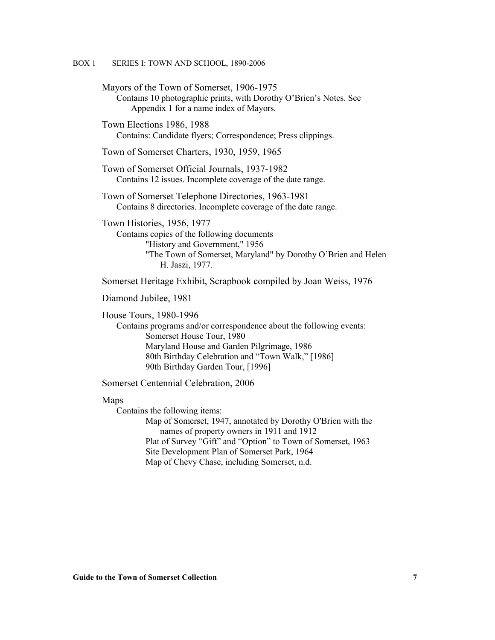Mayors of the Town of Somerset, 1906-1975 Contains 10 photographic prints, with Dorothy O'Brien's Notes. See Appendix 1 for a name index of Mayors. Town Elections 1986, 1988 Contains: Candidate flyers; Correspondence; Press clippings. Town of Somerset Charters, 1930, 1959, 1965 Town of Somerset Official Journals, 1937-1982 Contains 12 issues. Incomplete coverage of the date range. Town of Somerset Telephone Directories, 1963-1981 Contains 8 directories. Incomplete coverage of the date range. Town Histories, 1956, 1977 Contains copies of the following documents "History and Government," 1956 "The Town of Somerset, Maryland" by Dorothy O'Brien and Helen H. Jaszi, 1977. Somerset Heritage Exhibit, Scrapbook compiled by Joan Weiss, 1976

Diamond Jubilee, 1981

House Tours, 1980-1996

Contains programs and/or correspondence about the following events: Somerset House Tour, 1980 Maryland House and Garden Pilgrimage, 1986 80th Birthday Celebration and "Town Walk," [1986] 90th Birthday Garden Tour, [1996]

Somerset Centennial Celebration, 2006

#### Maps

Contains the following items:

Map of Somerset, 1947, annotated by Dorothy O'Brien with the names of property owners in 1911 and 1912 Plat of Survey "Gift" and "Option" to Town of Somerset, 1963 Site Development Plan of Somerset Park, 1964 Map of Chevy Chase, including Somerset, n.d.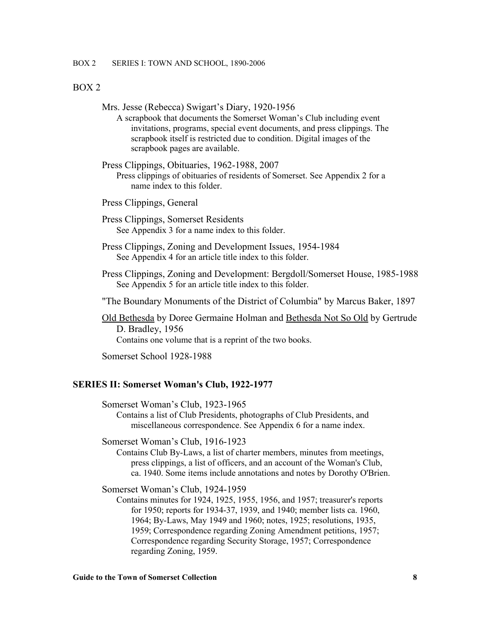BOX 2 SERIES I: TOWN AND SCHOOL, 1890-2006

#### BOX 2

|  |  |  | Mrs. Jesse (Rebecca) Swigart's Diary, 1920-1956 |  |
|--|--|--|-------------------------------------------------|--|
|--|--|--|-------------------------------------------------|--|

- A scrapbook that documents the Somerset Woman's Club including event invitations, programs, special event documents, and press clippings. The scrapbook itself is restricted due to condition. Digital images of the scrapbook pages are available.
- Press Clippings, Obituaries, 1962-1988, 2007 Press clippings of obituaries of residents of Somerset. See Appendix 2 for a name index to this folder.
- Press Clippings, General
- Press Clippings, Somerset Residents See Appendix 3 for a name index to this folder.
- Press Clippings, Zoning and Development Issues, 1954-1984 See Appendix 4 for an article title index to this folder.
- Press Clippings, Zoning and Development: Bergdoll/Somerset House, 1985-1988 See Appendix 5 for an article title index to this folder.
- "The Boundary Monuments of the District of Columbia" by Marcus Baker, 1897
- Old Bethesda by Doree Germaine Holman and Bethesda Not So Old by Gertrude D. Bradley, 1956

Contains one volume that is a reprint of the two books.

Somerset School 1928-1988

#### **SERIES II: Somerset Woman's Club, 1922-1977**

Somerset Woman's Club, 1923-1965

Contains a list of Club Presidents, photographs of Club Presidents, and miscellaneous correspondence. See Appendix 6 for a name index.

Somerset Woman's Club, 1916-1923

Contains Club By-Laws, a list of charter members, minutes from meetings, press clippings, a list of officers, and an account of the Woman's Club, ca. 1940. Some items include annotations and notes by Dorothy O'Brien.

Somerset Woman's Club, 1924-1959

Contains minutes for 1924, 1925, 1955, 1956, and 1957; treasurer's reports for 1950; reports for 1934-37, 1939, and 1940; member lists ca. 1960, 1964; By-Laws, May 1949 and 1960; notes, 1925; resolutions, 1935, 1959; Correspondence regarding Zoning Amendment petitions, 1957; Correspondence regarding Security Storage, 1957; Correspondence regarding Zoning, 1959.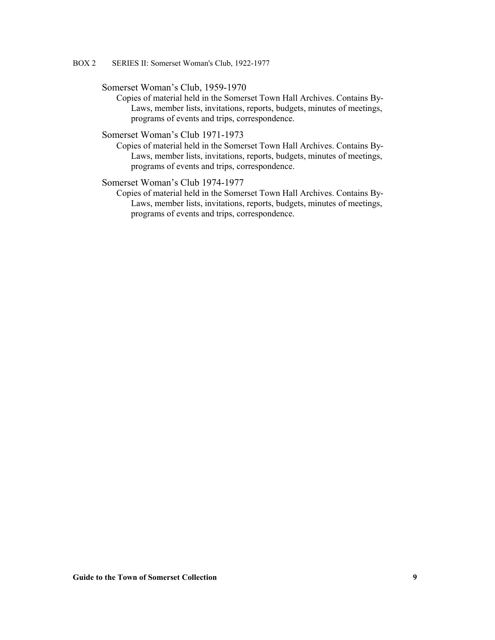BOX 2 SERIES II: Somerset Woman's Club, 1922-1977

#### Somerset Woman's Club, 1959-1970

Copies of material held in the Somerset Town Hall Archives. Contains By-Laws, member lists, invitations, reports, budgets, minutes of meetings, programs of events and trips, correspondence.

### Somerset Woman's Club 1971-1973

Copies of material held in the Somerset Town Hall Archives. Contains By-Laws, member lists, invitations, reports, budgets, minutes of meetings, programs of events and trips, correspondence.

#### Somerset Woman's Club 1974-1977

Copies of material held in the Somerset Town Hall Archives. Contains By-Laws, member lists, invitations, reports, budgets, minutes of meetings, programs of events and trips, correspondence.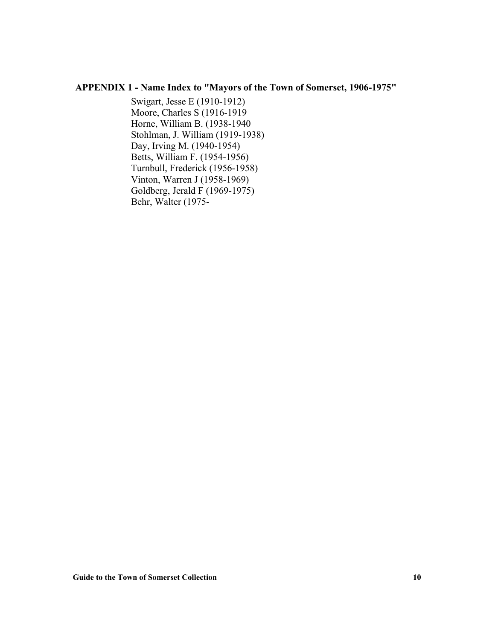### **APPENDIX 1 - Name Index to "Mayors of the Town of Somerset, 1906-1975"**

Swigart, Jesse E (1910-1912) Moore, Charles S (1916-1919 Horne, William B. (1938-1940 Stohlman, J. William (1919-1938) Day, Irving M. (1940-1954) Betts, William F. (1954-1956) Turnbull, Frederick (1956-1958) Vinton, Warren J (1958-1969) Goldberg, Jerald F (1969-1975) Behr, Walter (1975-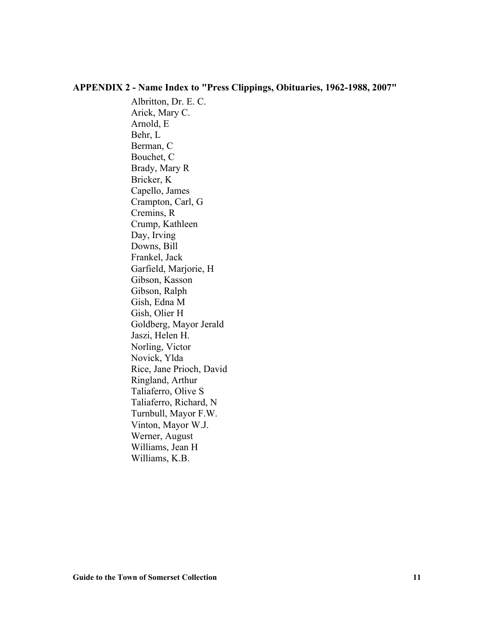### **APPENDIX 2 - Name Index to "Press Clippings, Obituaries, 1962-1988, 2007"**

Albritton, Dr. E. C. Arick, Mary C. Arnold, E Behr, L Berman, C Bouchet, C Brady, Mary R Bricker, K Capello, James Crampton, Carl, G Cremins, R Crump, Kathleen Day, Irving Downs, Bill Frankel, Jack Garfield, Marjorie, H Gibson, Kasson Gibson, Ralph Gish, Edna M Gish, Olier H Goldberg, Mayor Jerald Jaszi, Helen H. Norling, Victor Novick, Ylda Rice, Jane Prioch, David Ringland, Arthur Taliaferro, Olive S Taliaferro, Richard, N Turnbull, Mayor F.W. Vinton, Mayor W.J. Werner, August Williams, Jean H Williams, K.B.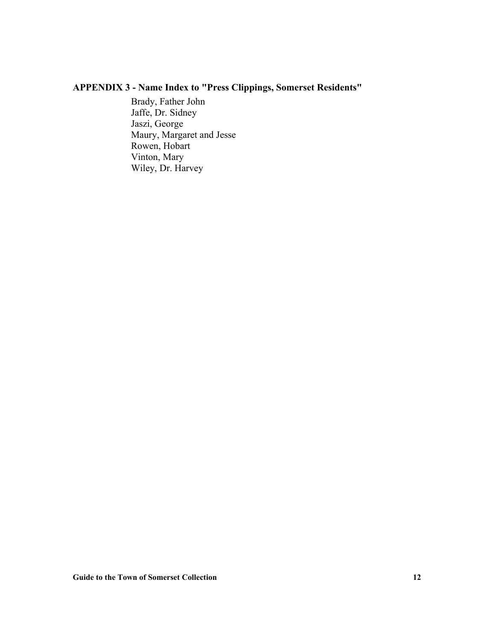## **APPENDIX 3 - Name Index to "Press Clippings, Somerset Residents"**

Brady, Father John Jaffe, Dr. Sidney Jaszi, George Maury, Margaret and Jesse Rowen, Hobart Vinton, Mary Wiley, Dr. Harvey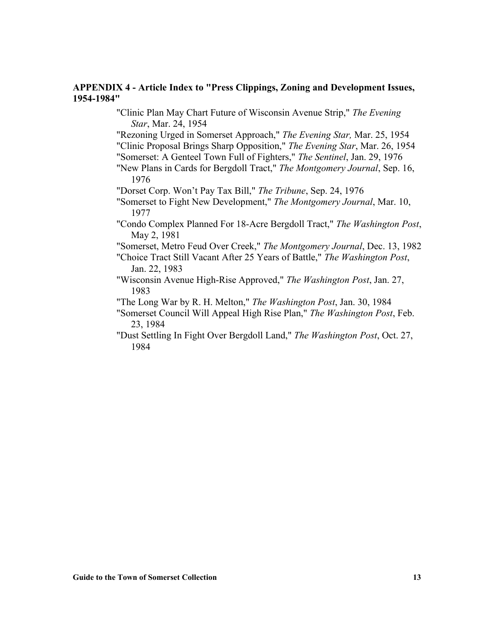### **APPENDIX 4 - Article Index to "Press Clippings, Zoning and Development Issues, 1954-1984"**

"Clinic Plan May Chart Future of Wisconsin Avenue Strip," *The Evening Star*, Mar. 24, 1954

"Rezoning Urged in Somerset Approach," *The Evening Star,* Mar. 25, 1954 "Clinic Proposal Brings Sharp Opposition," *The Evening Star*, Mar. 26, 1954

"Somerset: A Genteel Town Full of Fighters," *The Sentinel*, Jan. 29, 1976

"New Plans in Cards for Bergdoll Tract," *The Montgomery Journal*, Sep. 16, 1976

"Dorset Corp. Won't Pay Tax Bill," *The Tribune*, Sep. 24, 1976

"Somerset to Fight New Development," *The Montgomery Journal*, Mar. 10, 1977

"Condo Complex Planned For 18-Acre Bergdoll Tract," *The Washington Post*, May 2, 1981

"Somerset, Metro Feud Over Creek," *The Montgomery Journal*, Dec. 13, 1982

"Choice Tract Still Vacant After 25 Years of Battle," *The Washington Post*, Jan. 22, 1983

"Wisconsin Avenue High-Rise Approved," *The Washington Post*, Jan. 27, 1983

"The Long War by R. H. Melton," *The Washington Post*, Jan. 30, 1984

"Somerset Council Will Appeal High Rise Plan," *The Washington Post*, Feb. 23, 1984

"Dust Settling In Fight Over Bergdoll Land," *The Washington Post*, Oct. 27, 1984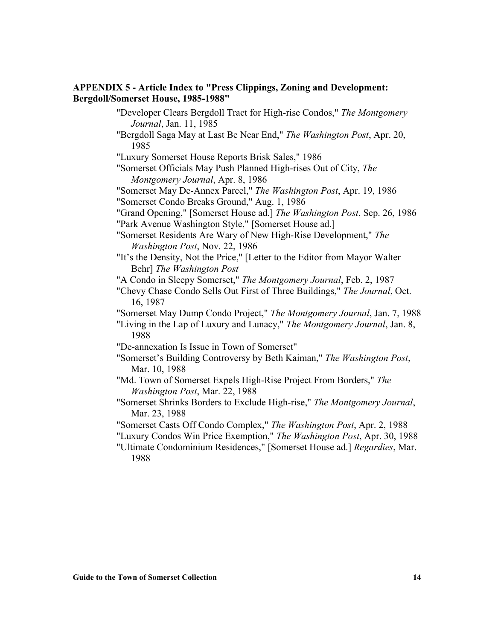### **APPENDIX 5 - Article Index to "Press Clippings, Zoning and Development: Bergdoll/Somerset House, 1985-1988"**

"Developer Clears Bergdoll Tract for High-rise Condos," *The Montgomery Journal*, Jan. 11, 1985 "Bergdoll Saga May at Last Be Near End," *The Washington Post*, Apr. 20, 1985 "Luxury Somerset House Reports Brisk Sales," 1986 "Somerset Officials May Push Planned High-rises Out of City, *The Montgomery Journal*, Apr. 8, 1986 "Somerset May De-Annex Parcel," *The Washington Post*, Apr. 19, 1986 "Somerset Condo Breaks Ground," Aug. 1, 1986 "Grand Opening," [Somerset House ad.] *The Washington Post*, Sep. 26, 1986 "Park Avenue Washington Style," [Somerset House ad.] "Somerset Residents Are Wary of New High-Rise Development," *The Washington Post*, Nov. 22, 1986 "It's the Density, Not the Price," [Letter to the Editor from Mayor Walter Behr] *The Washington Post* "A Condo in Sleepy Somerset," *The Montgomery Journal*, Feb. 2, 1987 "Chevy Chase Condo Sells Out First of Three Buildings," *The Journal*, Oct. 16, 1987 "Somerset May Dump Condo Project," *The Montgomery Journal*, Jan. 7, 1988 "Living in the Lap of Luxury and Lunacy," *The Montgomery Journal*, Jan. 8, 1988 "De-annexation Is Issue in Town of Somerset" "Somerset's Building Controversy by Beth Kaiman," *The Washington Post*, Mar. 10, 1988 "Md. Town of Somerset Expels High-Rise Project From Borders," *The Washington Post*, Mar. 22, 1988 "Somerset Shrinks Borders to Exclude High-rise," *The Montgomery Journal*, Mar. 23, 1988 "Somerset Casts Off Condo Complex," *The Washington Post*, Apr. 2, 1988 "Luxury Condos Win Price Exemption," *The Washington Post*, Apr. 30, 1988

"Ultimate Condominium Residences," [Somerset House ad.] *Regardies*, Mar. 1988